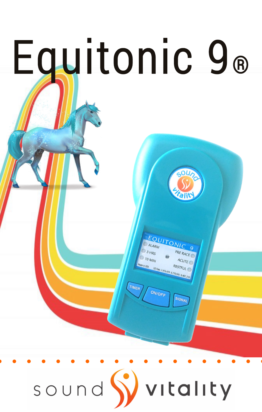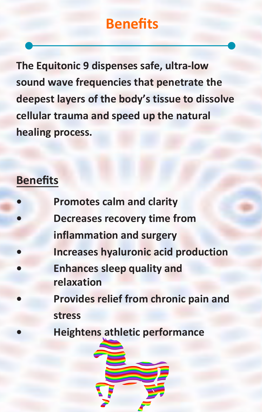#### **Benefits**

**The Equitonic 9 dispenses safe, ultra-low sound wave frequencies that penetrate the deepest layers of the body's tissue to dissolve cellular trauma and speed up the natural healing process.**

#### **Benefits**

- **• Promotes calm and clarity • Decreases recovery time from inflammation and surgery • Increases hyaluronic acid production • Enhances sleep quality and relaxation • Provides relief from chronic pain and stress**
	- **• Heightens athletic performance**

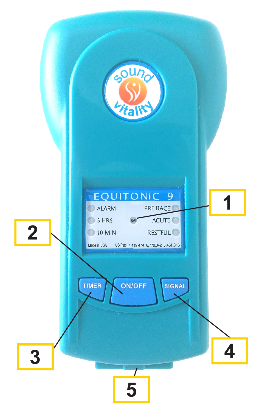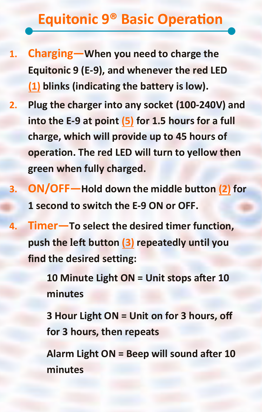#### **Equitonic 9® Basic Operation**

- **1. Charging—When you need to charge the Equitonic 9 (E-9), and whenever the red LED (1) blinks (indicating the battery is low).**
- **2. Plug the charger into any socket (100-240V) and into the E-9 at point (5) for 1.5 hours for a full charge, which will provide up to 45 hours of operation. The red LED will turn to yellow then green when fully charged.**
- **3. ON/OFF—Hold down the middle button (2) for 1 second to switch the E-9 ON or OFF.**
- **4. Timer—To select the desired timer function, push the left button (3) repeatedly until you find the desired setting:**

**10 Minute Light ON = Unit stops after 10 minutes**

**3 Hour Light ON = Unit on for 3 hours, off for 3 hours, then repeats** 

**Alarm Light ON = Beep will sound after 10 minutes**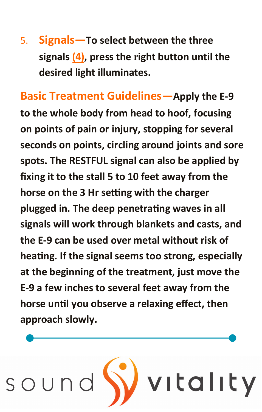5. **Signals—To select between the three signals (4), press the right button until the desired light illuminates.**

**Basic Treatment Guidelines—Apply the E-9 to the whole body from head to hoof, focusing on points of pain or injury, stopping for several seconds on points, circling around joints and sore spots. The RESTFUL signal can also be applied by fixing it to the stall 5 to 10 feet away from the horse on the 3 Hr setting with the charger plugged in. The deep penetrating waves in all signals will work through blankets and casts, and the E-9 can be used over metal without risk of heating. If the signal seems too strong, especially at the beginning of the treatment, just move the E-9 a few inches to several feet away from the horse until you observe a relaxing effect, then approach slowly.**

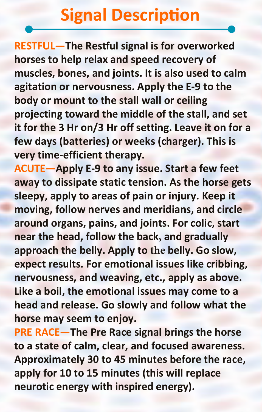### **Signal Description**

**RESTFUL—The Restful signal is for overworked horses to help relax and speed recovery of muscles, bones, and joints. It is also used to calm agitation or nervousness. Apply the E-9 to the body or mount to the stall wall or ceiling projecting toward the middle of the stall, and set it for the 3 Hr on/3 Hr off setting. Leave it on for a few days (batteries) or weeks (charger). This is very time-efficient therapy.**

**ACUTE—Apply E-9 to any issue. Start a few feet away to dissipate static tension. As the horse gets sleepy, apply to areas of pain or injury. Keep it moving, follow nerves and meridians, and circle around organs, pains, and joints. For colic, start near the head, follow the back, and gradually approach the belly. Apply to the belly. Go slow, expect results. For emotional issues like cribbing, nervousness, and weaving, etc., apply as above. Like a boil, the emotional issues may come to a head and release. Go slowly and follow what the horse may seem to enjoy.**

**PRE RACE—The Pre Race signal brings the horse to a state of calm, clear, and focused awareness. Approximately 30 to 45 minutes before the race, apply for 10 to 15 minutes (this will replace neurotic energy with inspired energy).**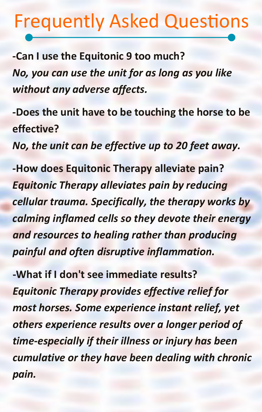## Frequently Asked Questions

**-Can I use the Equitonic 9 too much?** *No, you can use the unit for as long as you like without any adverse affects.*

**-Does the unit have to be touching the horse to be effective?** *No, the unit can be effective up to 20 feet away.*

**-How does Equitonic Therapy alleviate pain?** *Equitonic Therapy alleviates pain by reducing cellular trauma. Specifically, the therapy works by calming inflamed cells so they devote their energy and resources to healing rather than producing painful and often disruptive inflammation.*

**-What if I don't see immediate results?** *Equitonic Therapy provides effective relief for most horses. Some experience instant relief, yet others experience results over a longer period of time-especially if their illness or injury has been cumulative or they have been dealing with chronic pain.*